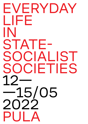## EVERYDAY LIFE IN STATE-SOCIALIST SOCIETIES 12— —15/05 2022 PULA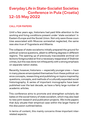## Everyday Life in State-Socialist Societies Conference in Pula (Croatia) 12–15 May 2022

## CALL FOR PAPERS

Until a few years ago, historians had paid little attention to the working and living conditions present under 'state socialism' in Eastern Europe and the Soviet Union. Not only were those countries associated with Moscow somewhat neglected, the same was also true of Yugoslavia and Albania.

The collapse of state socialisms initially prepared the ground for political-science questions, albeit to differing degrees in different regions. The opening up of previously inaccessible archival collections foregrounded at first a necessary reappraisal of Stalinist crimes, but this was done not infrequently with a strong emphasis on separate nation states.

Recently, however, historians — especially younger ones — have in many places emancipated themselves from these political-science concepts, researching and publishing on topics inspired by questions, concepts, and methods of a culturally expanded social historiography. A series of important monographs have been published over the last decade, as have a fairly large number of academic articles.

This conference aims to promote and strengthen scholarly debates on the social history of state socialism, which may also lead to new joint research and publication projects. We invite papers that duly situate their empirical case within the larger frame of the discussion outlined below.

In terms of content, this mainly concerns three important interrelated aspects: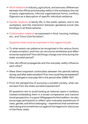- → Work relations in industry, agriculture, and services: differences between the official and everyday reality in the workplace, the role of party organizations, informal organizational forms, conflicts, Eigensinn as a description of specific individual resilience.
- $\rightarrow$  Gender relations in family life, in the public sphere, and in the workplace, and the interaction between gendered social relationships in all these spheres.
- $\rightarrow$  Consumption relations as expressed in food, housing, holidays, etc., and 'Coca-Cola Socialism'.

Questions that could be important in this regard include:

- $\rightarrow$  To what extent can patterns be recognized in the various forms of state socialism, and how can structural similarities and differences be explained? How did things change over time during the state-socialist period?
- $\rightarrow$  How did official propaganda and the everyday reality influence each other?
- $\rightarrow$  Were there important continuities between the periods before, during, and after state socialism? If so, how could they be explained? What changed in everyday life in the period after 1989–92?
- $\rightarrow$  From the perspective of pursuing a socialist society, what can we learn from the state-socialist experiences?

All questions aim to avoid looking at national cases in isolation, instead embedding them in a broad comparative and transnational perspective. In a good Alltagsgeschichte tradition, we also encourage participants to reflect upon everyday experiences of class, gender, and ethnic belonging – experiences that sometimes went along and sometimes cut against the hegemonic discourse of the Party-state.